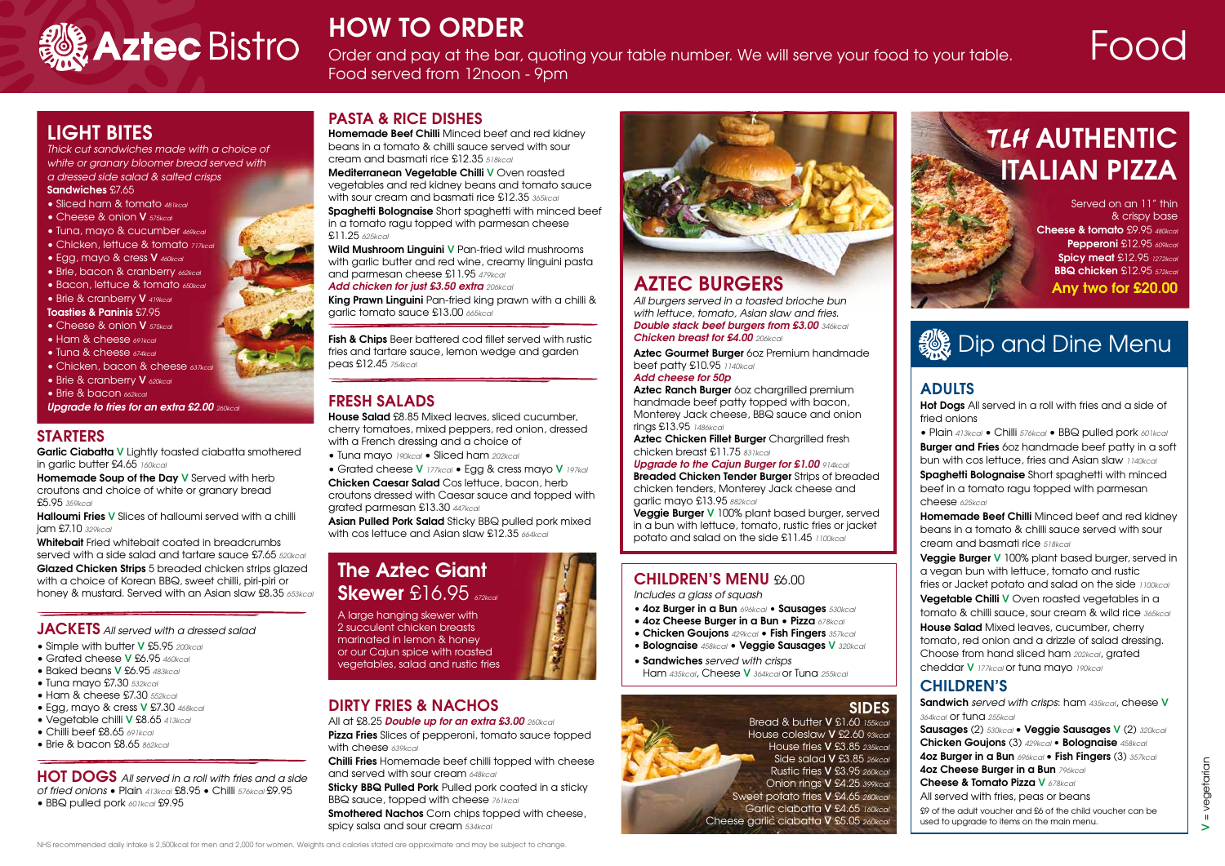# **STARTERS**

**Garlic Ciabatta V** Lightly toasted ciabatta smothered in garlic butter £4.65 *160kcal*

**Homemade Soup of the Day V** Served with herb croutons and choice of white or granary bread £5.95 *359kcal*

**Halloumi Fries V** Slices of halloumi served with a chilli jam £7.10 *329kcal*

**Whitebait** Fried whitebait coated in breadcrumbs served with a side salad and tartare sauce £7.65 *520kcal* **Glazed Chicken Strips** 5 breaded chicken strips glazed with a choice of Korean BBQ, sweet chilli, piri-piri or honey & mustard. Served with an Asian slaw £8.35 *653kcal*

#### **JACKETS** *All served with a dressed salad*

**Spaghetti Bolognaise** Short spaghetti with minced beef in a tomato ragu topped with parmesan cheese £11.25 *625kcal*

- Simple with butter **V** £5.95 *200kcal*
- Grated cheese **V** £6.95 *460kcal*
- Baked beans **V** £6.95 *483kcal*
- Tuna mayo £7.30 *532kcal*
- Ham & cheese £7.30 *552kcal*
- Egg, mayo & cress **V** £7.30 *468kcal*
- Vegetable chilli **V** £8.65 *413kcal*
- Chilli beef £8.65 *691kcal*
- Brie & bacon £8.65 *862kcal*

**Fish & Chips** Beer battered cod fillet served with rustic fries and tartare sauce, lemon wedge and garden peas £12.45 *754kcal*

**HOT DOGS** *All served in a roll with fries and a side of fried onions* • Plain *413kcal* £8.95 • Chilli *576kcal* £9.95 • BBQ pulled pork *601kcal* £9.95

**PASTA & RICE DISHES**

**Homemade Beef Chilli** Minced beef and red kidney beans in a tomato & chilli sauce served with sour cream and basmati rice £12.35 *518kcal*

**Mediterranean Vegetable Chilli V** Oven roasted vegetables and red kidney beans and tomato sauce with sour cream and basmati rice £12.35 *365kcal*

**Sticky BBQ Pulled Pork** Pulled pork coated in a sticky BBQ sauce, topped with cheese *761kcal*

**Smothered Nachos** Corn chips topped with cheese, spicy salsa and sour cream *534kcal*





HOW TO ORDER<br>Order and pay at the bar, quoting your table number. We will serve your food to your table. **FOOO** Food served from 12noon - 9pm

**Wild Mushroom Linguini V** Pan-fried wild mushrooms with garlic butter and red wine, creamy linguini pasta and parmesan cheese £11.95 *479kcal*

*Add chicken for just £3.50 extra 206kcal*

**King Prawn Linguini** Pan-fried king prawn with a chilli & garlic tomato sauce £13.00 *665kcal*

# **FRESH SALADS**

**House Salad** £8.85 Mixed leaves, sliced cucumber, cherry tomatoes, mixed peppers, red onion, dressed with a French dressing and a choice of

• Tuna mayo *190kcal* • Sliced ham *202kcal*

• Grated cheese **V** *177kcal* • Egg & cress mayo **V** *197kal*

**Chicken Caesar Salad** Cos lettuce, bacon, herb croutons dressed with Caesar sauce and topped with grated parmesan £13.30 *447kcal*

# **TLH AUTHENTIC ITALIAN PIZZA**

**Asian Pulled Pork Salad** Sticky BBQ pulled pork mixed with cos lettuce and Asian slaw £12.35 *664kcal*



#### All at £8.25 *Double up for an extra £3.00 260kcal*

**Pizza Fries** Slices of pepperoni, tomato sauce topped with cheese *639kcal*

**Chilli Fries** Homemade beef chilli topped with cheese and served with sour cream *648kcal*

# **AZTEC BURGERS**

*All burgers served in a toasted brioche bun with lettuce, tomato, Asian slaw and fries. Double stack beef burgers from £3.00 346kcal Chicken breast for £4.00 206kcal*

**Aztec Gourmet Burger** 6oz Premium handmade beef patty £10.95 *1140kcal*

#### *Add cheese for 50p*

**Aztec Ranch Burger** 6oz chargrilled premium handmade beef patty topped with bacon, Monterey Jack cheese, BBQ sauce and onion rings £13.95 *1486kcal*

**Aztec Chicken Fillet Burger** Chargrilled fresh chicken breast £11.75 *831kcal*

# *Upgrade to the Cajun Burger for £1.00 914kcal*

**Breaded Chicken Tender Burger** Strips of breaded chicken tenders, Monterey Jack cheese and garlic mayo £13.95 *882kcal*

**Veggie Burger V** 100% plant based burger, served in a bun with lettuce, tomato, rustic fries or jacket potato and salad on the side £11.45 *1100kcal*

# **LIGHT BITES**

*Thick cut sandwiches made with a choice of white or granary bloomer bread served with a dressed side salad & salted crisps*

#### **Sandwiches** £7.65

- Sliced ham & tomato *481kcal*
- Cheese & onion **V** *575kcal*
- Tuna, mayo & cucumber *469kcal*
- Chicken, lettuce & tomato *717kcal*
- Egg, mayo & cress **V** *460kcal*
- Brie, bacon & cranberry *662kcal*
- Bacon, lettuce & tomato *650kcal*
- Brie & cranberry **V** *419kcal*

#### **Toasties & Paninis** £7.95

- Cheese & onion **V** *575kcal*
- Ham & cheese *691kcal*
- Tuna & cheese *674kcal*
- Chicken, bacon & cheese *637kcal*
- Brie & cranberry **V** *620kcal*
- Brie & bacon *662kcal*

#### *Upgrade to fries for an extra £2.00 260kcal*

Served on an 11" thin & crispy base **Cheese & tomato** £9.95 *480kcal* **Pepperoni** £12.95 *609kcal* **Spicy meat** £12.95 *1272kcal* **BBQ chicken** £12.95 *572kcal* **Any two for £20.00**

# **《 Dip and Dine Menu**

# **The Aztec Giant Skewer** £16.95 *672kcal*

A large hanging skewer with 2 succulent chicken breasts marinated in lemon & honey or our Cajun spice with roasted vegetables, salad and rustic fries



# **ADULTS**

**Hot Dogs** All served in a roll with fries and a side of fried onions

• Plain *413kcal* • Chilli *576kcal* • BBQ pulled pork *601kcal* **Burger and Fries** 6oz handmade beef patty in a soft bun with cos lettuce, fries and Asian slaw *1140kcal*

**Spaghetti Bolognaise** Short spaghetti with minced beef in a tomato ragu topped with parmesan cheese *625kcal*

**Homemade Beef Chilli** Minced beef and red kidney beans in a tomato & chilli sauce served with sour cream and basmati rice *518kcal*

**Veggie Burger V** 100% plant based burger, served in a vegan bun with lettuce, tomato and rustic fries or Jacket potato and salad on the side *1100kcal* **Vegetable Chilli V** Oven roasted vegetables in a tomato & chilli sauce, sour cream & wild rice *365kcal* **House Salad** Mixed leaves, cucumber, cherry tomato, red onion and a drizzle of salad dressing. Choose from hand sliced ham *202kcal*, grated cheddar **V** *177kcal* or tuna mayo *190kcal*

# **CHILDREN'S**

**Sandwich** *served with crisps*: ham *435kcal*, cheese **V**  *364kcal* or tuna *255kcal* **Sausages** (2) *530kcal* • **Veggie Sausages V** (2) *320kcal* 

**Chicken Goujons** (3) *429kcal* **• Bolognaise** *458kcal* **4oz Burger in a Bun** *696kcal* • **Fish Fingers** (3) *357kcal* **4oz Cheese Burger in a Bun** *796kcal* **Cheese & Tomato Pizza V** *678kcal*

All served with fries, peas or beans £9 of the adult voucher and £6 of the child voucher can be

used to upgrade to items on the main menu.

= vegetarian  $V = v$ egetarian  $\geq$ 

# **CHILDREN'S MENU** £6.00

*Includes a glass of squash*

- **4oz Burger in a Bun** *696kcal*  **Sausages** *530kcal*
- **4oz Cheese Burger in a Bun Pizza** *678kcal*
- **Chicken Goujons** *429kcal* **Fish Fingers** *357kcal*
- **Bolognaise** *458kcal* **Veggie Sausages V** *320kcal*
- **Sandwiches** *served with crisps* Ham *435kcal*, Cheese **V** *364kcal* or Tuna *255kcal*

# **SIDES**

Bread & butter **V** £1.60 *155kcal* House coleslaw **V** £2.60 *93kcal* House fries **V** £3.85 *235kcal* Side salad **V** £3.85 *26kcal* Rustic fries **V** £3.95 *260kcal* Onion rings **V** £4.25 *399kcal* Sweet potato fries **V** £4.65 *280kcal* Garlic ciabatta **V** £4.65 *160kcal* Cheese garlic ciabatta **V** £5.05 *260kcal*